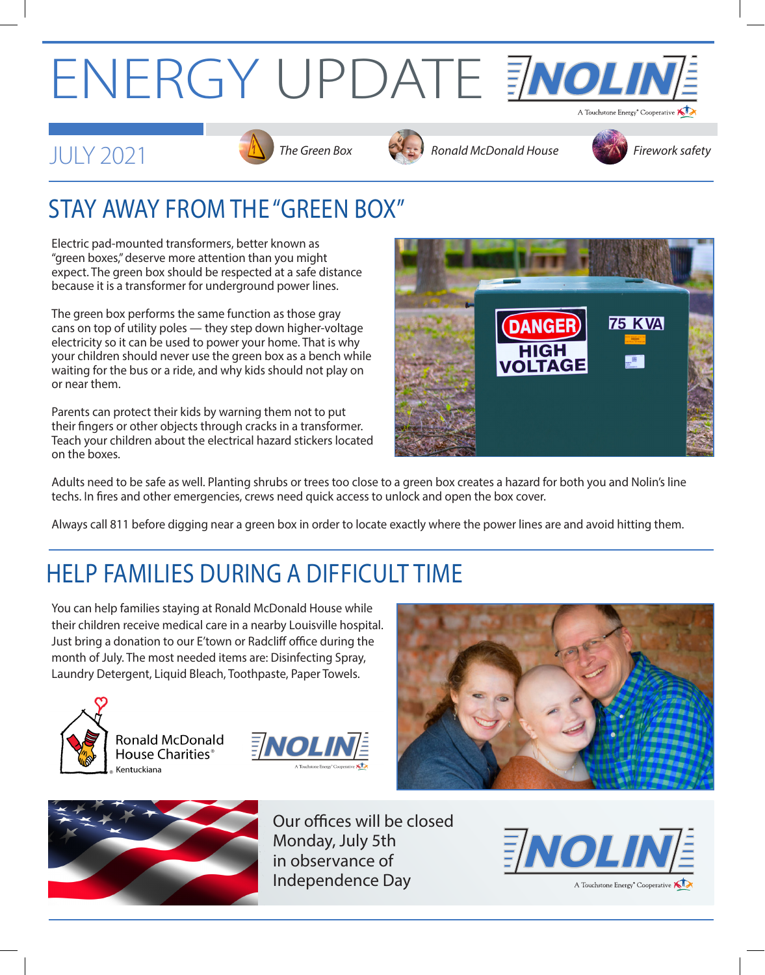## ENERGY UPDATE ENOLINE







## STAY AWAY FROM THE "GREEN BOX"

Electric pad-mounted transformers, better known as "green boxes," deserve more attention than you might expect. The green box should be respected at a safe distance because it is a transformer for underground power lines.

The green box performs the same function as those gray cans on top of utility poles — they step down higher-voltage electricity so it can be used to power your home. That is why your children should never use the green box as a bench while waiting for the bus or a ride, and why kids should not play on or near them.

Parents can protect their kids by warning them not to put their fingers or other objects through cracks in a transformer. Teach your children about the electrical hazard stickers located on the boxes.



Adults need to be safe as well. Planting shrubs or trees too close to a green box creates a hazard for both you and Nolin's line techs. In fires and other emergencies, crews need quick access to unlock and open the box cover.

Always call 811 before digging near a green box in order to locate exactly where the power lines are and avoid hitting them.

## HELP FAMILIES DURING A DIFFICULT TIME

You can help families staying at Ronald McDonald House while their children receive medical care in a nearby Louisville hospital. Just bring a donation to our E'town or Radcliff office during the month of July. The most needed items are: Disinfecting Spray, Laundry Detergent, Liquid Bleach, Toothpaste, Paper Towels.



**Ronald McDonald** House Charities<sup>®</sup> Kentuckiana







Our offices will be closed Monday, July 5th in observance of Independence Day